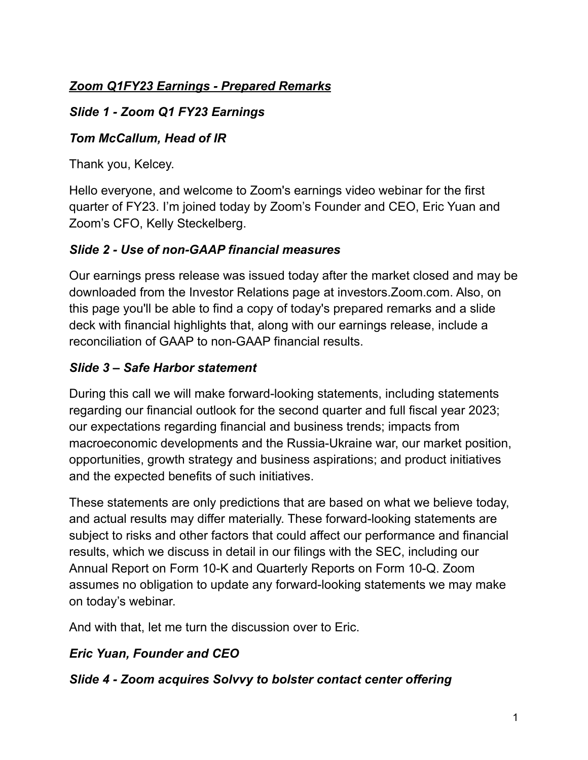## *Zoom Q1FY23 Earnings - Prepared Remarks*

### *Slide 1 - Zoom Q1 FY23 Earnings*

#### *Tom McCallum, Head of IR*

Thank you, Kelcey.

Hello everyone, and welcome to Zoom's earnings video webinar for the first quarter of FY23. I'm joined today by Zoom's Founder and CEO, Eric Yuan and Zoom's CFO, Kelly Steckelberg.

#### *Slide 2 - Use of non-GAAP financial measures*

Our earnings press release was issued today after the market closed and may be downloaded from the Investor Relations page at investors.Zoom.com. Also, on this page you'll be able to find a copy of today's prepared remarks and a slide deck with financial highlights that, along with our earnings release, include a reconciliation of GAAP to non-GAAP financial results.

## *Slide 3 – Safe Harbor statement*

During this call we will make forward-looking statements, including statements regarding our financial outlook for the second quarter and full fiscal year 2023; our expectations regarding financial and business trends; impacts from macroeconomic developments and the Russia-Ukraine war, our market position, opportunities, growth strategy and business aspirations; and product initiatives and the expected benefits of such initiatives.

These statements are only predictions that are based on what we believe today, and actual results may differ materially. These forward-looking statements are subject to risks and other factors that could affect our performance and financial results, which we discuss in detail in our filings with the SEC, including our Annual Report on Form 10-K and Quarterly Reports on Form 10-Q. Zoom assumes no obligation to update any forward-looking statements we may make on today's webinar.

And with that, let me turn the discussion over to Eric.

## *Eric Yuan, Founder and CEO*

#### *Slide 4 - Zoom acquires Solvvy to bolster contact center offering*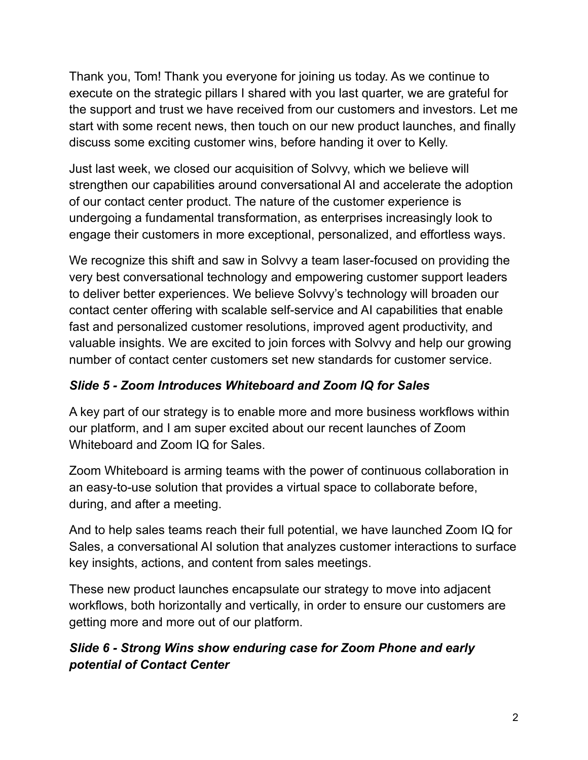Thank you, Tom! Thank you everyone for joining us today. As we continue to execute on the strategic pillars I shared with you last quarter, we are grateful for the support and trust we have received from our customers and investors. Let me start with some recent news, then touch on our new product launches, and finally discuss some exciting customer wins, before handing it over to Kelly.

Just last week, we closed our acquisition of Solvvy, which we believe will strengthen our capabilities around conversational AI and accelerate the adoption of our contact center product. The nature of the customer experience is undergoing a fundamental transformation, as enterprises increasingly look to engage their customers in more exceptional, personalized, and effortless ways.

We recognize this shift and saw in Solvvy a team laser-focused on providing the very best conversational technology and empowering customer support leaders to deliver better experiences. We believe Solvvy's technology will broaden our contact center offering with scalable self-service and AI capabilities that enable fast and personalized customer resolutions, improved agent productivity, and valuable insights. We are excited to join forces with Solvvy and help our growing number of contact center customers set new standards for customer service.

## *Slide 5 - Zoom Introduces Whiteboard and Zoom IQ for Sales*

A key part of our strategy is to enable more and more business workflows within our platform, and I am super excited about our recent launches of Zoom Whiteboard and Zoom IQ for Sales.

Zoom Whiteboard is arming teams with the power of continuous collaboration in an easy-to-use solution that provides a virtual space to collaborate before, during, and after a meeting.

And to help sales teams reach their full potential, we have launched Zoom IQ for Sales, a conversational AI solution that analyzes customer interactions to surface key insights, actions, and content from sales meetings.

These new product launches encapsulate our strategy to move into adjacent workflows, both horizontally and vertically, in order to ensure our customers are getting more and more out of our platform.

## *Slide 6 - Strong Wins show enduring case for Zoom Phone and early potential of Contact Center*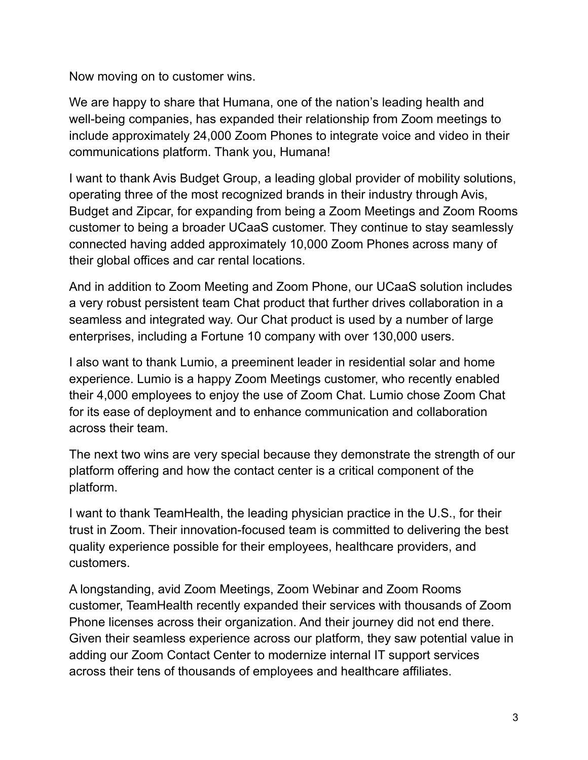Now moving on to customer wins.

We are happy to share that Humana, one of the nation's leading health and well-being companies, has expanded their relationship from Zoom meetings to include approximately 24,000 Zoom Phones to integrate voice and video in their communications platform. Thank you, Humana!

I want to thank Avis Budget Group, a leading global provider of mobility solutions, operating three of the most recognized brands in their industry through Avis, Budget and Zipcar, for expanding from being a Zoom Meetings and Zoom Rooms customer to being a broader UCaaS customer. They continue to stay seamlessly connected having added approximately 10,000 Zoom Phones across many of their global offices and car rental locations.

And in addition to Zoom Meeting and Zoom Phone, our UCaaS solution includes a very robust persistent team Chat product that further drives collaboration in a seamless and integrated way. Our Chat product is used by a number of large enterprises, including a Fortune 10 company with over 130,000 users.

I also want to thank Lumio, a preeminent leader in residential solar and home experience. Lumio is a happy Zoom Meetings customer, who recently enabled their 4,000 employees to enjoy the use of Zoom Chat. Lumio chose Zoom Chat for its ease of deployment and to enhance communication and collaboration across their team.

The next two wins are very special because they demonstrate the strength of our platform offering and how the contact center is a critical component of the platform.

I want to thank TeamHealth, the leading physician practice in the U.S., for their trust in Zoom. Their innovation-focused team is committed to delivering the best quality experience possible for their employees, healthcare providers, and customers.

A longstanding, avid Zoom Meetings, Zoom Webinar and Zoom Rooms customer, TeamHealth recently expanded their services with thousands of Zoom Phone licenses across their organization. And their journey did not end there. Given their seamless experience across our platform, they saw potential value in adding our Zoom Contact Center to modernize internal IT support services across their tens of thousands of employees and healthcare affiliates.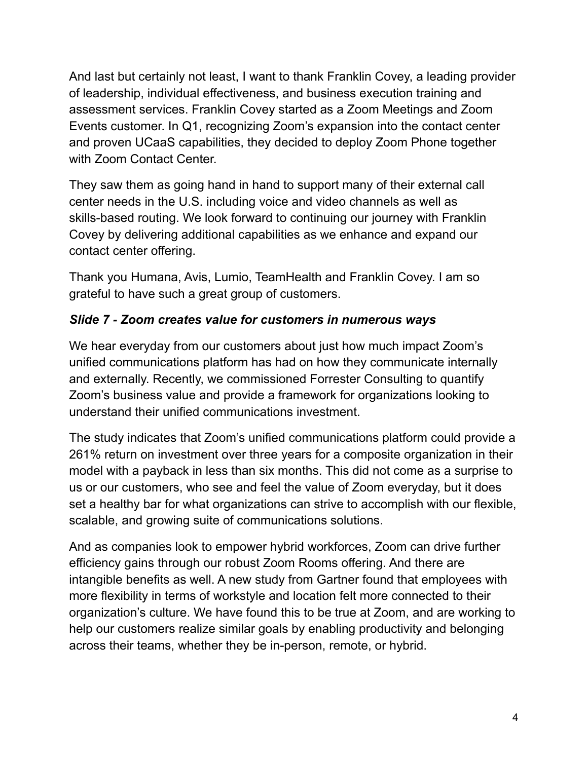And last but certainly not least, I want to thank Franklin Covey, a leading provider of leadership, individual effectiveness, and business execution training and assessment services. Franklin Covey started as a Zoom Meetings and Zoom Events customer. In Q1, recognizing Zoom's expansion into the contact center and proven UCaaS capabilities, they decided to deploy Zoom Phone together with Zoom Contact Center.

They saw them as going hand in hand to support many of their external call center needs in the U.S. including voice and video channels as well as skills-based routing. We look forward to continuing our journey with Franklin Covey by delivering additional capabilities as we enhance and expand our contact center offering.

Thank you Humana, Avis, Lumio, TeamHealth and Franklin Covey. I am so grateful to have such a great group of customers.

#### *Slide 7 - Zoom creates value for customers in numerous ways*

We hear everyday from our customers about just how much impact Zoom's unified communications platform has had on how they communicate internally and externally. Recently, we commissioned Forrester Consulting to quantify Zoom's business value and provide a framework for organizations looking to understand their unified communications investment.

The study indicates that Zoom's unified communications platform could provide a 261% return on investment over three years for a composite organization in their model with a payback in less than six months. This did not come as a surprise to us or our customers, who see and feel the value of Zoom everyday, but it does set a healthy bar for what organizations can strive to accomplish with our flexible, scalable, and growing suite of communications solutions.

And as companies look to empower hybrid workforces, Zoom can drive further efficiency gains through our robust Zoom Rooms offering. And there are intangible benefits as well. A new study from Gartner found that employees with more flexibility in terms of workstyle and location felt more connected to their organization's culture. We have found this to be true at Zoom, and are working to help our customers realize similar goals by enabling productivity and belonging across their teams, whether they be in-person, remote, or hybrid.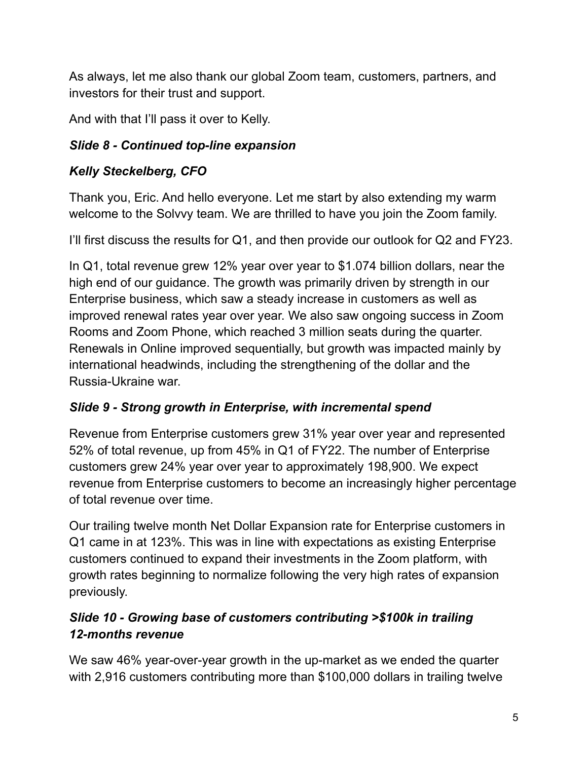As always, let me also thank our global Zoom team, customers, partners, and investors for their trust and support.

And with that I'll pass it over to Kelly.

## *Slide 8 - Continued top-line expansion*

# *Kelly Steckelberg, CFO*

Thank you, Eric. And hello everyone. Let me start by also extending my warm welcome to the Solvvy team. We are thrilled to have you join the Zoom family.

I'll first discuss the results for Q1, and then provide our outlook for Q2 and FY23.

In Q1, total revenue grew 12% year over year to \$1.074 billion dollars, near the high end of our guidance. The growth was primarily driven by strength in our Enterprise business, which saw a steady increase in customers as well as improved renewal rates year over year. We also saw ongoing success in Zoom Rooms and Zoom Phone, which reached 3 million seats during the quarter. Renewals in Online improved sequentially, but growth was impacted mainly by international headwinds, including the strengthening of the dollar and the Russia-Ukraine war.

## *Slide 9 - Strong growth in Enterprise, with incremental spend*

Revenue from Enterprise customers grew 31% year over year and represented 52% of total revenue, up from 45% in Q1 of FY22. The number of Enterprise customers grew 24% year over year to approximately 198,900. We expect revenue from Enterprise customers to become an increasingly higher percentage of total revenue over time.

Our trailing twelve month Net Dollar Expansion rate for Enterprise customers in Q1 came in at 123%. This was in line with expectations as existing Enterprise customers continued to expand their investments in the Zoom platform, with growth rates beginning to normalize following the very high rates of expansion previously.

## *Slide 10 - Growing base of customers contributing >\$100k in trailing 12-months revenue*

We saw 46% year-over-year growth in the up-market as we ended the quarter with 2,916 customers contributing more than \$100,000 dollars in trailing twelve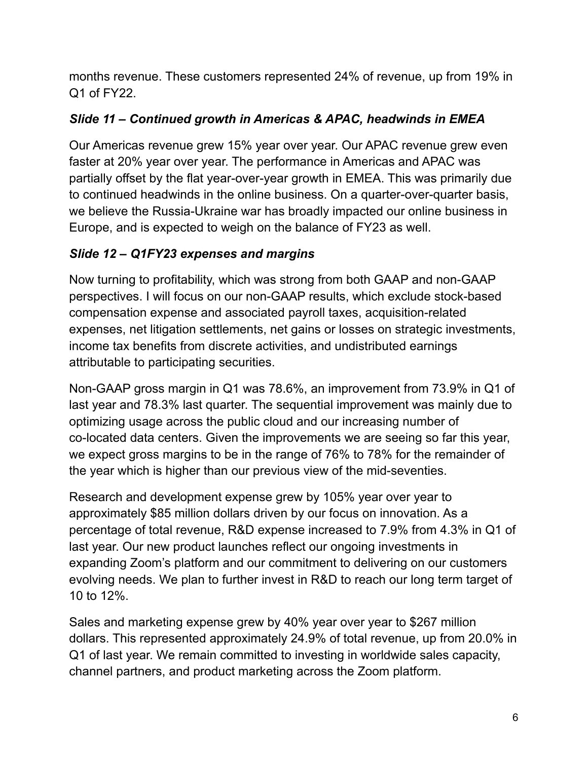months revenue. These customers represented 24% of revenue, up from 19% in Q1 of FY22.

### *Slide 11 – Continued growth in Americas & APAC, headwinds in EMEA*

Our Americas revenue grew 15% year over year. Our APAC revenue grew even faster at 20% year over year. The performance in Americas and APAC was partially offset by the flat year-over-year growth in EMEA. This was primarily due to continued headwinds in the online business. On a quarter-over-quarter basis, we believe the Russia-Ukraine war has broadly impacted our online business in Europe, and is expected to weigh on the balance of FY23 as well.

#### *Slide 12 – Q1FY23 expenses and margins*

Now turning to profitability, which was strong from both GAAP and non-GAAP perspectives. I will focus on our non-GAAP results, which exclude stock-based compensation expense and associated payroll taxes, acquisition-related expenses, net litigation settlements, net gains or losses on strategic investments, income tax benefits from discrete activities, and undistributed earnings attributable to participating securities.

Non-GAAP gross margin in Q1 was 78.6%, an improvement from 73.9% in Q1 of last year and 78.3% last quarter. The sequential improvement was mainly due to optimizing usage across the public cloud and our increasing number of co-located data centers. Given the improvements we are seeing so far this year, we expect gross margins to be in the range of 76% to 78% for the remainder of the year which is higher than our previous view of the mid-seventies.

Research and development expense grew by 105% year over year to approximately \$85 million dollars driven by our focus on innovation. As a percentage of total revenue, R&D expense increased to 7.9% from 4.3% in Q1 of last year. Our new product launches reflect our ongoing investments in expanding Zoom's platform and our commitment to delivering on our customers evolving needs. We plan to further invest in R&D to reach our long term target of 10 to 12%.

Sales and marketing expense grew by 40% year over year to \$267 million dollars. This represented approximately 24.9% of total revenue, up from 20.0% in Q1 of last year. We remain committed to investing in worldwide sales capacity, channel partners, and product marketing across the Zoom platform.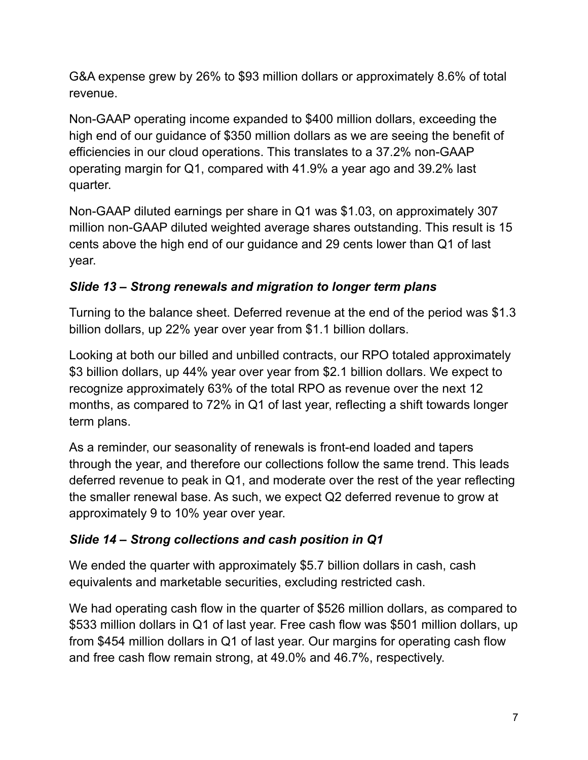G&A expense grew by 26% to \$93 million dollars or approximately 8.6% of total revenue.

Non-GAAP operating income expanded to \$400 million dollars, exceeding the high end of our guidance of \$350 million dollars as we are seeing the benefit of efficiencies in our cloud operations. This translates to a 37.2% non-GAAP operating margin for Q1, compared with 41.9% a year ago and 39.2% last quarter.

Non-GAAP diluted earnings per share in Q1 was \$1.03, on approximately 307 million non-GAAP diluted weighted average shares outstanding. This result is 15 cents above the high end of our guidance and 29 cents lower than Q1 of last year.

## *Slide 13 – Strong renewals and migration to longer term plans*

Turning to the balance sheet. Deferred revenue at the end of the period was \$1.3 billion dollars, up 22% year over year from \$1.1 billion dollars.

Looking at both our billed and unbilled contracts, our RPO totaled approximately \$3 billion dollars, up 44% year over year from \$2.1 billion dollars. We expect to recognize approximately 63% of the total RPO as revenue over the next 12 months, as compared to 72% in Q1 of last year, reflecting a shift towards longer term plans.

As a reminder, our seasonality of renewals is front-end loaded and tapers through the year, and therefore our collections follow the same trend. This leads deferred revenue to peak in Q1, and moderate over the rest of the year reflecting the smaller renewal base. As such, we expect Q2 deferred revenue to grow at approximately 9 to 10% year over year.

## *Slide 14 – Strong collections and cash position in Q1*

We ended the quarter with approximately \$5.7 billion dollars in cash, cash equivalents and marketable securities, excluding restricted cash.

We had operating cash flow in the quarter of \$526 million dollars, as compared to \$533 million dollars in Q1 of last year. Free cash flow was \$501 million dollars, up from \$454 million dollars in Q1 of last year. Our margins for operating cash flow and free cash flow remain strong, at 49.0% and 46.7%, respectively.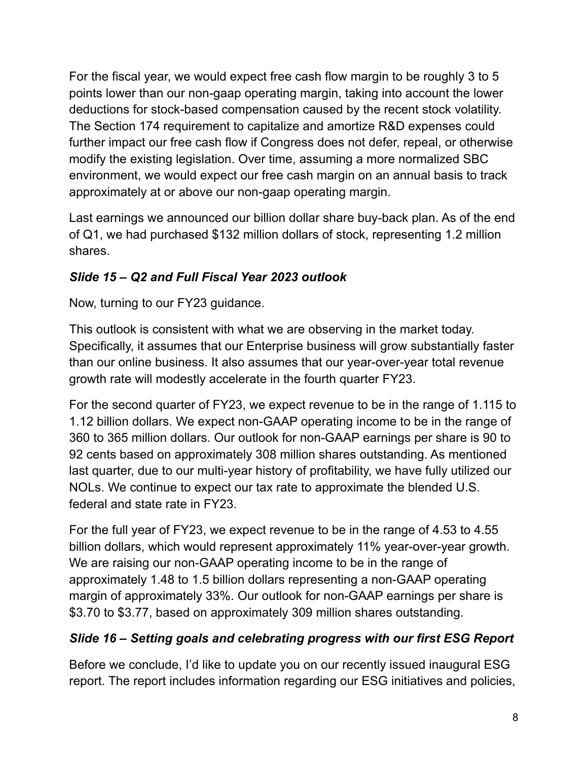For the fiscal year, we would expect free cash flow margin to be roughly 3 to 5 points lower than our non-gaap operating margin, taking into account the lower deductions for stock-based compensation caused by the recent stock volatility. The Section 174 requirement to capitalize and amortize R&D expenses could further impact our free cash flow if Congress does not defer, repeal, or otherwise modify the existing legislation. Over time, assuming a more normalized SBC environment, we would expect our free cash margin on an annual basis to track approximately at or above our non-gaap operating margin.

Last earnings we announced our billion dollar share buy-back plan. As of the end of Q1, we had purchased \$132 million dollars of stock, representing 1.2 million shares.

## *Slide 15 – Q2 and Full Fiscal Year 2023 outlook*

Now, turning to our FY23 guidance.

This outlook is consistent with what we are observing in the market today. Specifically, it assumes that our Enterprise business will grow substantially faster than our online business. It also assumes that our year-over-year total revenue growth rate will modestly accelerate in the fourth quarter FY23.

For the second quarter of FY23, we expect revenue to be in the range of 1.115 to 1.12 billion dollars. We expect non-GAAP operating income to be in the range of 360 to 365 million dollars. Our outlook for non-GAAP earnings per share is 90 to 92 cents based on approximately 308 million shares outstanding. As mentioned last quarter, due to our multi-year history of profitability, we have fully utilized our NOLs. We continue to expect our tax rate to approximate the blended U.S. federal and state rate in FY23.

For the full year of FY23, we expect revenue to be in the range of 4.53 to 4.55 billion dollars, which would represent approximately 11% year-over-year growth. We are raising our non-GAAP operating income to be in the range of approximately 1.48 to 1.5 billion dollars representing a non-GAAP operating margin of approximately 33%. Our outlook for non-GAAP earnings per share is \$3.70 to \$3.77, based on approximately 309 million shares outstanding.

# *Slide 16 – Setting goals and celebrating progress with our first ESG Report*

Before we conclude, I'd like to update you on our recently issued inaugural ESG report. The report includes information regarding our ESG initiatives and policies,